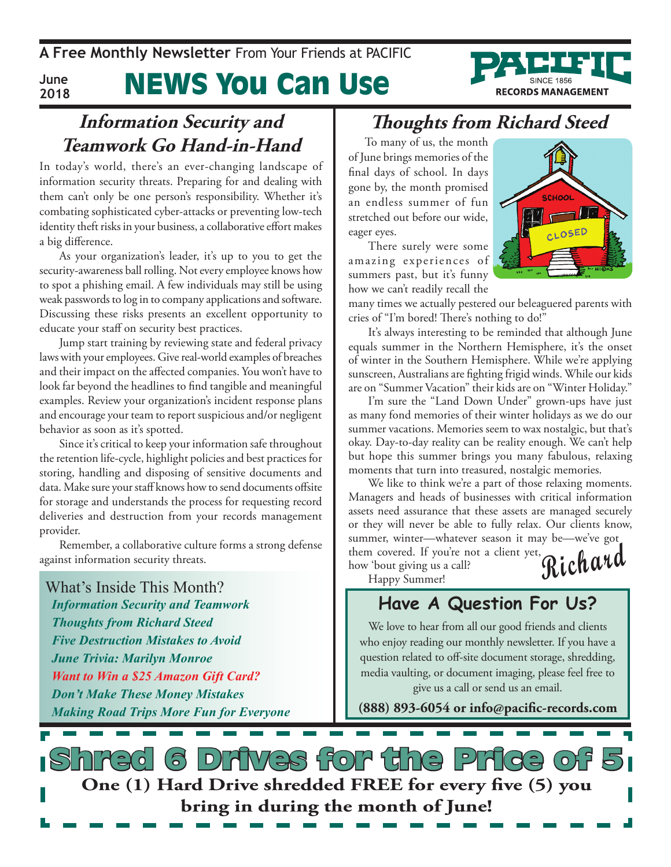**A Free Monthly Newsletter** From Your Friends at PaciFic

**June 2018**

# News You Can Use

#### **Information Security and Teamwork Go Hand-in-Hand**

In today's world, there's an ever-changing landscape of information security threats. Preparing for and dealing with them can't only be one person's responsibility. Whether it's combating sophisticated cyber-attacks or preventing low-tech identity theft risks in your business, a collaborative effort makes a big difference.

As your organization's leader, it's up to you to get the security-awareness ball rolling. Not every employee knows how to spot a phishing email. A few individuals may still be using weak passwords to log in to company applications and software. Discussing these risks presents an excellent opportunity to educate your staff on security best practices.

Jump start training by reviewing state and federal privacy laws with your employees. Give real-world examples of breaches and their impact on the affected companies. You won't have to look far beyond the headlines to find tangible and meaningful examples. Review your organization's incident response plans and encourage your team to report suspicious and/or negligent behavior as soon as it's spotted.

Since it's critical to keep your information safe throughout the retention life-cycle, highlight policies and best practices for storing, handling and disposing of sensitive documents and data. Make sure your staff knows how to send documents offsite for storage and understands the process for requesting record deliveries and destruction from your records management provider.

Remember, a collaborative culture forms a strong defense against information security threats.

What's Inside This Month? *Information Security and Teamwork Thoughts from Richard Steed Five Destruction Mistakes to Avoid June Trivia: Marilyn Monroe Want to Win a \$25 Amazon Gift Card? Don't Make These Money Mistakes Making Road Trips More Fun for Everyone*

#### **Thoughts from Richard Steed**

To many of us, the month of June brings memories of the final days of school. In days gone by, the month promised an endless summer of fun stretched out before our wide, eager eyes.

There surely were some amazing experiences of summers past, but it's funny how we can't readily recall the



**RECORDS MANAGEMENT** 

many times we actually pestered our beleaguered parents with cries of "I'm bored! There's nothing to do!"

It's always interesting to be reminded that although June equals summer in the Northern Hemisphere, it's the onset of winter in the Southern Hemisphere. While we're applying sunscreen, Australians are fighting frigid winds. While our kids are on "Summer Vacation" their kids are on "Winter Holiday."

I'm sure the "Land Down Under" grown-ups have just as many fond memories of their winter holidays as we do our summer vacations. Memories seem to wax nostalgic, but that's okay. Day-to-day reality can be reality enough. We can't help but hope this summer brings you many fabulous, relaxing moments that turn into treasured, nostalgic memories.

**Richard** We like to think we're a part of those relaxing moments. Managers and heads of businesses with critical information assets need assurance that these assets are managed securely or they will never be able to fully relax. Our clients know, summer, winter—whatever season it may be—we've got

them covered. If you're not a client yet, how 'bout giving us a call? Happy Summer!

#### **Have A Question For Us?**

We love to hear from all our good friends and clients who enjoy reading our monthly newsletter. If you have a question related to off-site document storage, shredding, media vaulting, or document imaging, please feel free to give us a call or send us an email.

**(888) 893-6054 or info@pacific-records.com**

short for the Pr **One (1) Hard Drive shredded FREE for every five (5) you bring in during the month of June!**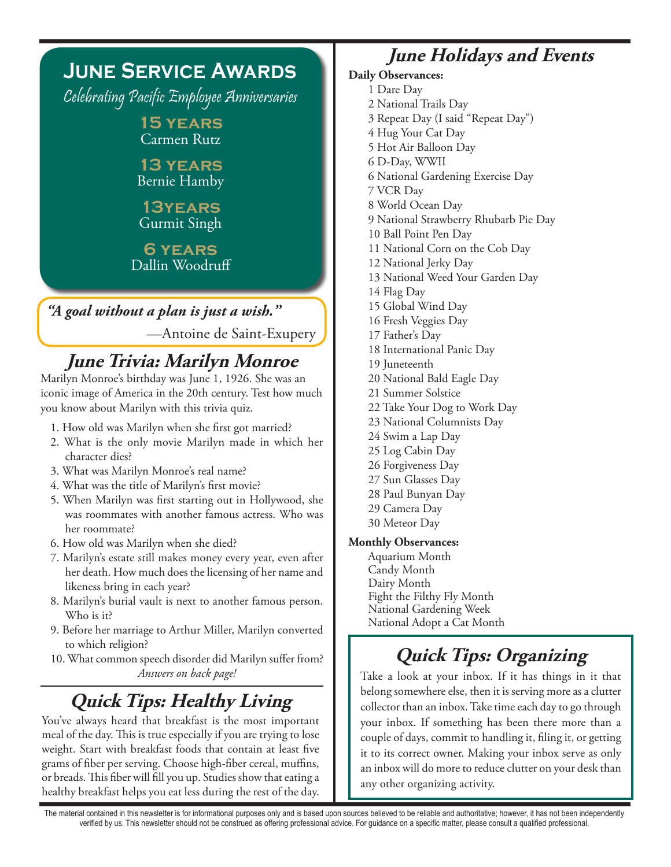| <b>JUNE SERVICE AWARDS</b>                 |
|--------------------------------------------|
| Celebrating Pacific Employee Anniversaries |
| <b>15 YEARS</b><br><b>Carmen Rutz</b>      |
| <b>13 YEARS</b><br><b>Bernie Hamby</b>     |
| <b>13YEARS</b><br><b>Gurmit Singh</b>      |
| <b>6 YEARS</b><br>Dallin Woodruff          |
|                                            |
| "A goal without a plan is just a wish."    |
| -Antoine de Saint-Exupery                  |

## **June Trivia: Marilyn Monroe**

Marilyn Monroe's birthday was June 1, 1926. She was an iconic image of America in the 20th century. Test how much you know about Marilyn with this trivia quiz.

- 1. How old was Marilyn when she first got married?
- 2. What is the only movie Marilyn made in which her character dies?
- 3. What was Marilyn Monroe's real name?
- 4. What was the title of Marilyn's first movie?
- 5. When Marilyn was first starting out in Hollywood, she was roommates with another famous actress. Who was her roommate?
- 6. How old was Marilyn when she died?
- 7. Marilyn's estate still makes money every year, even after her death. How much does the licensing of her name and likeness bring in each year?
- 8. Marilyn's burial vault is next to another famous person. Who is it?
- 9. Before her marriage to Arthur Miller, Marilyn converted to which religion?
- 10. What common speech disorder did Marilyn suffer from? *Answers on back page!*

## **Quick Tips: Healthy Living**

You've always heard that breakfast is the most important meal of the day. This is true especially if you are trying to lose weight. Start with breakfast foods that contain at least five grams of fiber per serving. Choose high-fiber cereal, muffins, or breads. This fiber will fill you up. Studies show that eating a healthy breakfast helps you eat less during the rest of the day.

#### **June Holidays and Events**

#### **Daily Observances:** 1 Dare Day 2 National Trails Day 3 Repeat Day (I said "Repeat Day") 4 Hug Your Cat Day 5 Hot Air Balloon Day 6 D-Day, WWII 6 National Gardening Exercise Day 7 VCR Day 8 World Ocean Day 9 National Strawberry Rhubarb Pie Day 10 Ball Point Pen Day 11 National Corn on the Cob Day 12 National Jerky Day 13 National Weed Your Garden Day 14 Flag Day 15 Global Wind Day 16 Fresh Veggies Day 17 Father's Day 18 International Panic Day 19 Juneteenth 20 National Bald Eagle Day 21 Summer Solstice 22 Take Your Dog to Work Day 23 National Columnists Day 24 Swim a Lap Day 25 Log Cabin Day 26 Forgiveness Day 27 Sun Glasses Day 28 Paul Bunyan Day 29 Camera Day 30 Meteor Day Aquarium Month

**Monthly Observances:**

Candy Month Dairy Month Fight the Filthy Fly Month National Gardening Week National Adopt a Cat Month

## **Quick Tips: Organizing**

Take a look at your inbox. If it has things in it that belong somewhere else, then it is serving more as a clutter collector than an inbox. Take time each day to go through your inbox. If something has been there more than a couple of days, commit to handling it, filing it, or getting it to its correct owner. Making your inbox serve as only an inbox will do more to reduce clutter on your desk than any other organizing activity.

The material contained in this newsletter is for informational purposes only and is based upon sources believed to be reliable and authoritative; however, it has not been independently verified by us. This newsletter should not be construed as offering professional advice. For guidance on a specific matter, please consult a qualified professional.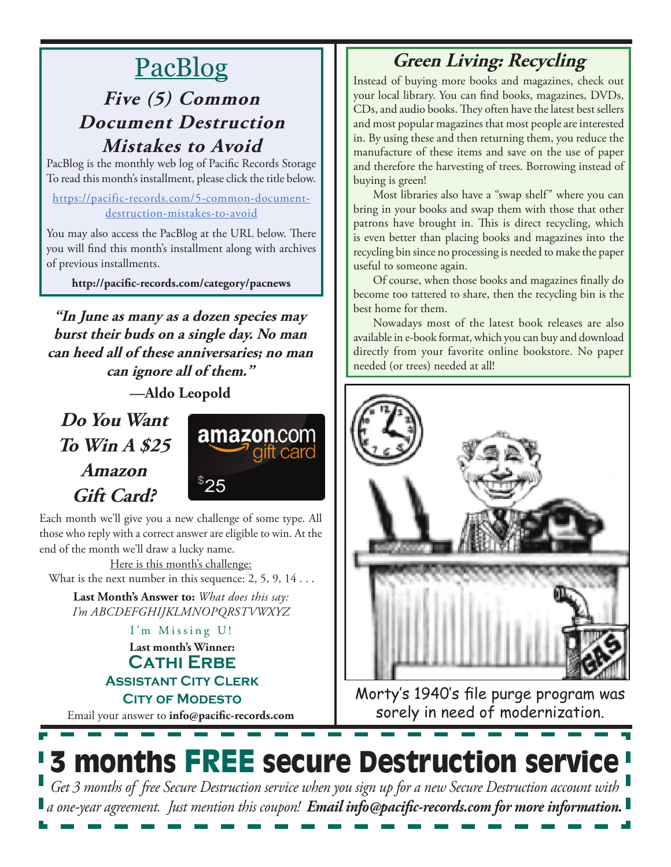# PacBlog

### **Five (5) Common Document Destruction Mistakes to Avoid**

PacBlog is the monthly web log of Pacific Records Storage To read this month's installment, please click the title below.

https://pacific-records.com/5-common-documentdestruction-mistakes-to-avoid

You may also access the PacBlog at the URL below. There you will find this month's installment along with archives of previous installments.

**http://pacific-records.com/category/pacnews**

**"In June as many as a dozen species may burst their buds on a single day. No man can heed all of these anniversaries; no man can ignore all of them."** 

**—Aldo Leopold**

**Do You Want To Win A \$25 Amazon Gift Card?**



Each month we'll give you a new challenge of some type. All those who reply with a correct answer are eligible to win. At the end of the month we'll draw a lucky name.

Here is this month's challenge: What is the next number in this sequence:  $2, 5, 9, 14...$ 

**Last Month's Answer to:** *What does this say: I'm ABCDEFGHIJKLMNOPQRSTVWXYZ*

> **Last month's Winner: CATHI ERBE Assistant City Clerk CITY OF MODESTO** I'm Missing U!

Email your answer to **info@pacific-records.com**

#### **Green Living: Recycling**

Instead of buying more books and magazines, check out your local library. You can find books, magazines, DVDs, CDs, and audio books. They often have the latest best sellers and most popular magazines that most people are interested in. By using these and then returning them, you reduce the manufacture of these items and save on the use of paper and therefore the harvesting of trees. Borrowing instead of buying is green!

Most libraries also have a "swap shelf" where you can bring in your books and swap them with those that other patrons have brought in. This is direct recycling, which is even better than placing books and magazines into the recycling bin since no processing is needed to make the paper useful to someone again.

Of course, when those books and magazines finally do become too tattered to share, then the recycling bin is the best home for them.

Nowadays most of the latest book releases are also available in e-book format, which you can buy and download directly from your favorite online bookstore. No paper needed (or trees) needed at all!



Morty's 1940's file purge program was sorely in need of modernization.



*Get 3 months of free Secure Destruction service when you sign up for a new Secure Destruction account with a one-year agreement. Just mention this coupon! Email info@pacific-records.com for more information.*